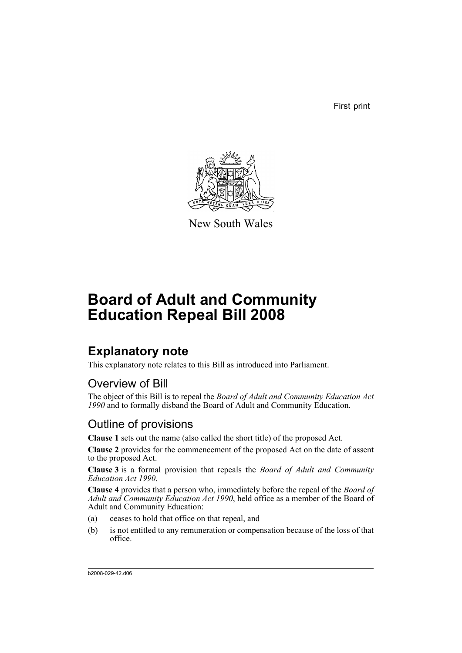First print



New South Wales

# **Board of Adult and Community Education Repeal Bill 2008**

### **Explanatory note**

This explanatory note relates to this Bill as introduced into Parliament.

### Overview of Bill

The object of this Bill is to repeal the *Board of Adult and Community Education Act 1990* and to formally disband the Board of Adult and Community Education.

#### Outline of provisions

**Clause 1** sets out the name (also called the short title) of the proposed Act.

**Clause 2** provides for the commencement of the proposed Act on the date of assent to the proposed Act.

**Clause 3** is a formal provision that repeals the *Board of Adult and Community Education Act 1990*.

**Clause 4** provides that a person who, immediately before the repeal of the *Board of Adult and Community Education Act 1990*, held office as a member of the Board of Adult and Community Education:

- (a) ceases to hold that office on that repeal, and
- (b) is not entitled to any remuneration or compensation because of the loss of that office.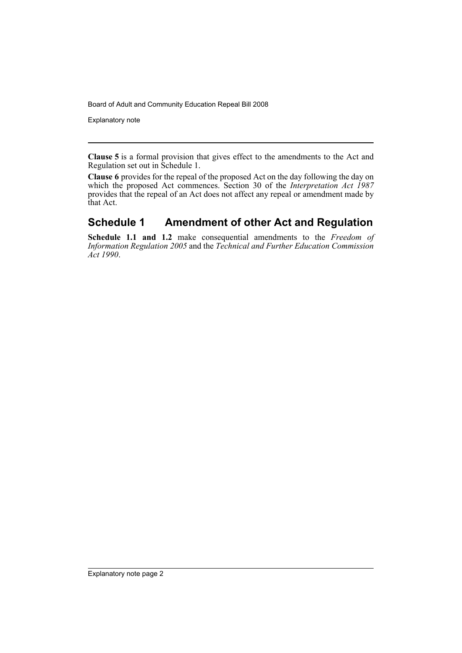Board of Adult and Community Education Repeal Bill 2008

Explanatory note

**Clause 5** is a formal provision that gives effect to the amendments to the Act and Regulation set out in Schedule 1.

**Clause 6** provides for the repeal of the proposed Act on the day following the day on which the proposed Act commences. Section 30 of the *Interpretation Act 1987* provides that the repeal of an Act does not affect any repeal or amendment made by that Act.

#### **Schedule 1 Amendment of other Act and Regulation**

**Schedule 1.1 and 1.2** make consequential amendments to the *Freedom of Information Regulation 2005* and the *Technical and Further Education Commission Act 1990*.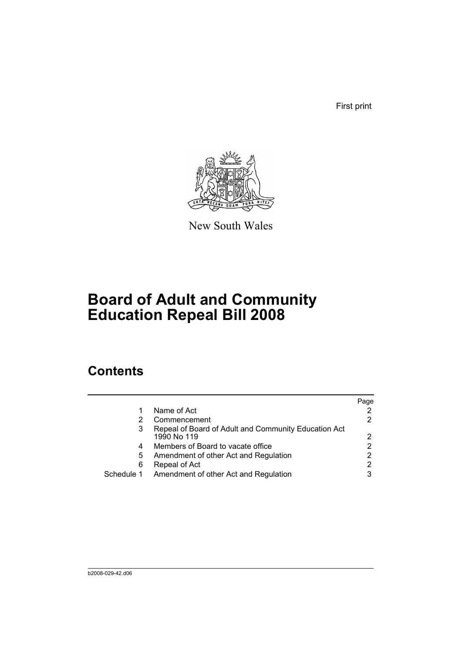First print



New South Wales

## **Board of Adult and Community Education Repeal Bill 2008**

### **Contents**

|            |                                                                     | Page |
|------------|---------------------------------------------------------------------|------|
|            | Name of Act                                                         |      |
|            | Commencement                                                        |      |
|            | Repeal of Board of Adult and Community Education Act<br>1990 No 119 | 2    |
| 4          | Members of Board to vacate office                                   |      |
| 5          | Amendment of other Act and Regulation                               |      |
| 6          | Repeal of Act                                                       |      |
| Schedule 1 | Amendment of other Act and Regulation                               |      |
|            |                                                                     |      |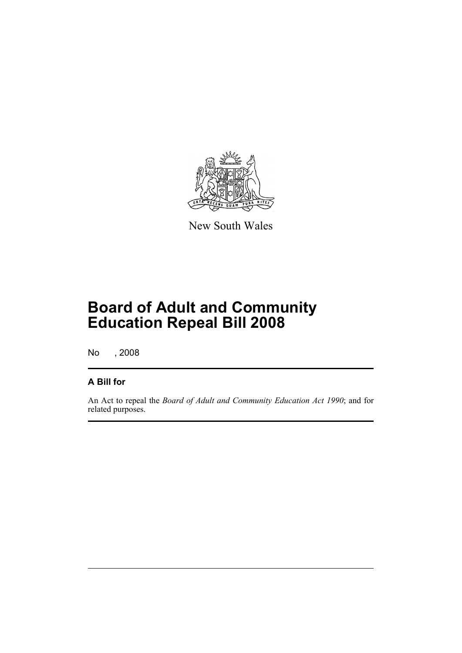

New South Wales

## **Board of Adult and Community Education Repeal Bill 2008**

No , 2008

#### **A Bill for**

An Act to repeal the *Board of Adult and Community Education Act 1990*; and for related purposes.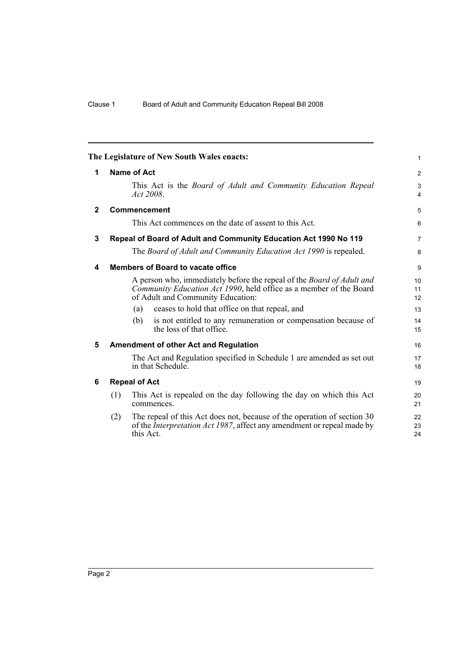<span id="page-5-5"></span><span id="page-5-4"></span><span id="page-5-3"></span><span id="page-5-2"></span><span id="page-5-1"></span><span id="page-5-0"></span>

| The Legislature of New South Wales enacts: |                      |              |                                                                                                                                                                                         |                     |
|--------------------------------------------|----------------------|--------------|-----------------------------------------------------------------------------------------------------------------------------------------------------------------------------------------|---------------------|
| 1                                          | <b>Name of Act</b>   |              |                                                                                                                                                                                         | 2                   |
|                                            |                      | Act $2008$ . | This Act is the Board of Adult and Community Education Repeal                                                                                                                           | 3<br>$\overline{4}$ |
| $\mathbf{2}$                               |                      |              | Commencement                                                                                                                                                                            | 5                   |
|                                            |                      |              | This Act commences on the date of assent to this Act.                                                                                                                                   | 6                   |
| $\mathbf 3$                                |                      |              | Repeal of Board of Adult and Community Education Act 1990 No 119                                                                                                                        | $\overline{7}$      |
|                                            |                      |              | The Board of Adult and Community Education Act 1990 is repealed.                                                                                                                        | 8                   |
| 4                                          |                      |              | <b>Members of Board to vacate office</b>                                                                                                                                                | 9                   |
|                                            |                      |              | A person who, immediately before the repeal of the <i>Board of Adult and</i><br>Community Education Act 1990, held office as a member of the Board<br>of Adult and Community Education: | 10<br>11<br>12      |
|                                            |                      | (a)          | ceases to hold that office on that repeal, and                                                                                                                                          | 13                  |
|                                            |                      | (b)          | is not entitled to any remuneration or compensation because of<br>the loss of that office.                                                                                              | 14<br>15            |
| 5                                          |                      |              | <b>Amendment of other Act and Regulation</b>                                                                                                                                            | 16                  |
|                                            |                      |              | The Act and Regulation specified in Schedule 1 are amended as set out<br>in that Schedule.                                                                                              | 17<br>18            |
| 6                                          | <b>Repeal of Act</b> |              |                                                                                                                                                                                         | 19                  |
|                                            | (1)                  |              | This Act is repealed on the day following the day on which this Act<br>commences.                                                                                                       | 20<br>21            |
|                                            | (2)                  | this Act.    | The repeal of this Act does not, because of the operation of section 30<br>of the <i>Interpretation Act 1987</i> , affect any amendment or repeal made by                               | 22<br>23<br>24      |